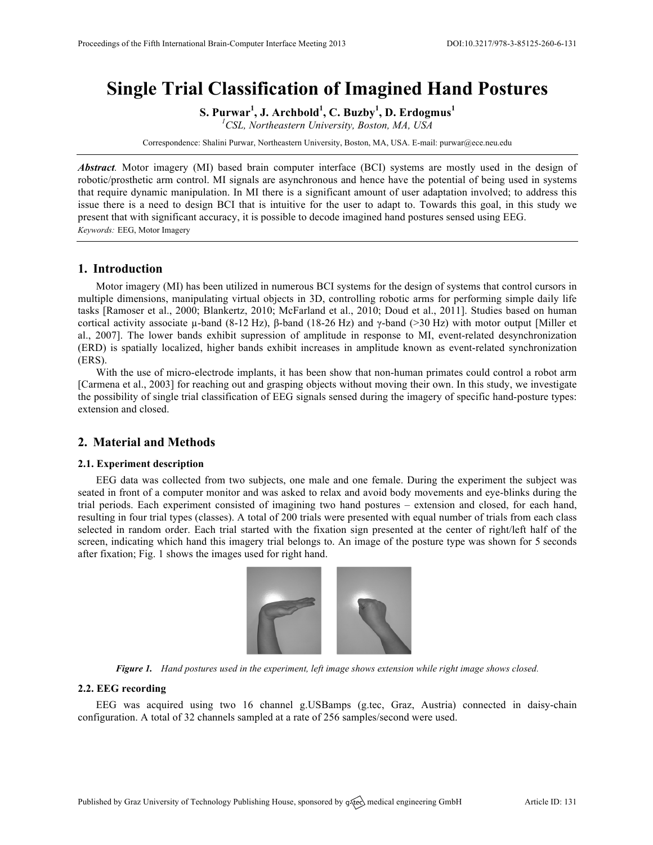# **Single Trial Classification of Imagined Hand Postures**

**S. Purwar<sup>1</sup> , J. Archbold<sup>1</sup> , C. Buzby<sup>1</sup> , D. Erdogmus<sup>1</sup>**

*1 CSL, Northeastern University, Boston, MA, USA*

Correspondence: Shalini Purwar, Northeastern University, Boston, MA, USA. E-mail: purwar@ece.neu.edu

*Abstract.* Motor imagery (MI) based brain computer interface (BCI) systems are mostly used in the design of robotic/prosthetic arm control. MI signals are asynchronous and hence have the potential of being used in systems that require dynamic manipulation. In MI there is a significant amount of user adaptation involved; to address this issue there is a need to design BCI that is intuitive for the user to adapt to. Towards this goal, in this study we present that with significant accuracy, it is possible to decode imagined hand postures sensed using EEG. *Keywords:* EEG, Motor Imagery

## **1. Introduction**

Motor imagery (MI) has been utilized in numerous BCI systems for the design of systems that control cursors in multiple dimensions, manipulating virtual objects in 3D, controlling robotic arms for performing simple daily life tasks [Ramoser et al., 2000; Blankertz, 2010; McFarland et al., 2010; Doud et al., 2011]. Studies based on human cortical activity associate µ-band (8-12 Hz), β-band (18-26 Hz) and γ-band (>30 Hz) with motor output [Miller et al., 2007]. The lower bands exhibit supression of amplitude in response to MI, event-related desynchronization (ERD) is spatially localized, higher bands exhibit increases in amplitude known as event-related synchronization (ERS).

With the use of micro-electrode implants, it has been show that non-human primates could control a robot arm [Carmena et al., 2003] for reaching out and grasping objects without moving their own. In this study, we investigate the possibility of single trial classification of EEG signals sensed during the imagery of specific hand-posture types: extension and closed.

## **2. Material and Methods**

#### **2.1. Experiment description**

EEG data was collected from two subjects, one male and one female. During the experiment the subject was seated in front of a computer monitor and was asked to relax and avoid body movements and eye-blinks during the trial periods. Each experiment consisted of imagining two hand postures – extension and closed, for each hand, resulting in four trial types (classes). A total of 200 trials were presented with equal number of trials from each class selected in random order. Each trial started with the fixation sign presented at the center of right/left half of the screen, indicating which hand this imagery trial belongs to. An image of the posture type was shown for 5 seconds after fixation; Fig. 1 shows the images used for right hand.



*Figure 1. Hand postures used in the experiment, left image shows extension while right image shows closed.*

## **2.2. EEG recording**

EEG was acquired using two 16 channel g.USBamps (g.tec, Graz, Austria) connected in daisy-chain configuration. A total of 32 channels sampled at a rate of 256 samples/second were used.